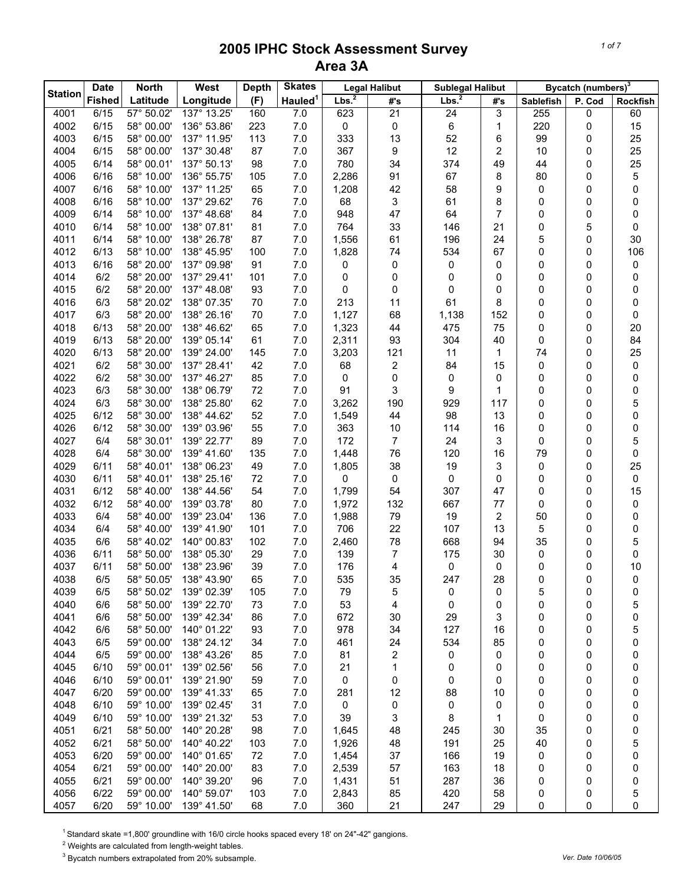|                | <b>Date</b>   | <b>North</b>             | West                       | <b>Depth</b> | <b>Skates</b>       |                   | <b>Legal Halibut</b> | <b>Sublegal Halibut</b> |                |                  | Bycatch (numbers) <sup>3</sup> |                 |
|----------------|---------------|--------------------------|----------------------------|--------------|---------------------|-------------------|----------------------|-------------------------|----------------|------------------|--------------------------------|-----------------|
| <b>Station</b> | <b>Fished</b> | Latitude                 | Longitude                  | (F)          | Hauled <sup>1</sup> | Lbs. <sup>2</sup> | #'s                  | Lbs. <sup>2</sup>       | #'s            | <b>Sablefish</b> | P. Cod                         | <b>Rockfish</b> |
| 4001           | 6/15          | $\overline{57}$ ° 50.02' | 137° 13.25'                | 160          | 7.0                 | 623               | 21                   | 24                      | 3              | 255              | 0                              | 60              |
| 4002           | 6/15          | 58° 00.00'               | 136° 53.86'                | 223          | 7.0                 | 0                 | 0                    | $\,6\,$                 | 1              | 220              | 0                              | 15              |
| 4003           | 6/15          | 58° 00.00'               | 137° 11.95'                | 113          | 7.0                 | 333               | 13                   | 52                      | 6              | 99               | 0                              | 25              |
| 4004           | 6/15          | 58° 00.00'               | 137° 30.48'                | 87           | 7.0                 | 367               | 9                    | 12                      | $\overline{c}$ | 10               | 0                              | 25              |
| 4005           | 6/14          | 58° 00.01'               | 137° 50.13'                | 98           | 7.0                 | 780               | 34                   | 374                     | 49             | 44               | 0                              | 25              |
| 4006           | 6/16          | 58° 10.00'               | 136° 55.75'                | 105          | 7.0                 | 2,286             | 91                   | 67                      | 8              | 80               | 0                              | 5               |
| 4007           | 6/16          | 58° 10.00'               | 137° 11.25'                | 65           | 7.0                 | 1,208             | 42                   | 58                      | 9              | 0                | 0                              | 0               |
| 4008           | 6/16          | 58° 10.00'               | 137° 29.62'                | 76           | 7.0                 | 68                | 3                    | 61                      | 8              | 0                | 0                              | 0               |
| 4009           | 6/14          | 58° 10.00'               | 137° 48.68'                | 84           | 7.0                 | 948               | 47                   | 64                      | 7              | 0                | 0                              | 0               |
| 4010           | 6/14          | 58° 10.00'               | 138° 07.81'                | 81           | 7.0                 | 764               | 33                   | 146                     | 21             | 0                | 5                              | 0               |
| 4011           | 6/14          | 58° 10.00'               | 138° 26.78'                | 87           | 7.0                 | 1,556             | 61                   | 196                     | 24             | 5                | 0                              | 30              |
| 4012           | 6/13          | 58° 10.00'               | 138° 45.95'                | 100          | 7.0                 | 1,828             | 74                   | 534                     | 67             | 0                | 0                              | 106             |
| 4013           | 6/16          | 58° 20.00'               | 137° 09.98'                | 91           | 7.0                 | 0                 | 0                    | 0                       | 0              | 0                | 0                              | 0               |
| 4014           | 6/2           | 58° 20.00'               | 137° 29.41'                | 101          | 7.0                 | 0                 | 0                    | 0                       | 0              | 0                | 0                              | 0               |
| 4015           | 6/2           | 58° 20.00'               | 137° 48.08'                | 93           | 7.0                 | 0                 | 0                    | $\mathbf 0$             | 0              | 0                | 0                              | 0               |
| 4016           | 6/3           | 58° 20.02'               | 138° 07.35'                | 70           | 7.0                 | 213               | 11                   | 61                      | 8              | 0                | 0                              | 0               |
| 4017           | 6/3           | 58° 20.00'               | 138° 26.16'                | 70           | 7.0                 | 1,127             | 68                   | 1,138                   | 152            | 0                | 0                              | 0               |
| 4018           | 6/13          | 58° 20.00'               | 138° 46.62'                | 65           | 7.0                 | 1,323             | 44                   | 475                     | 75             | 0                | 0                              | 20              |
| 4019           | 6/13          | 58° 20.00'               | 139° 05.14'                | 61           | 7.0                 | 2,311             | 93                   | 304                     | 40             | 0                | 0                              | 84              |
| 4020           | 6/13          | 58° 20.00'               | 139° 24.00'                | 145          | 7.0                 | 3,203             | 121                  | 11                      | 1              | 74               | 0                              | 25              |
| 4021           | 6/2           | 58° 30.00'               | 137° 28.41'                | 42           | 7.0                 | 68                | 2                    | 84                      | 15             | 0                | 0                              | 0               |
| 4022           | 6/2           | 58° 30.00'               | 137° 46.27'                | 85           | 7.0                 | 0                 | 0                    | 0                       | 0              | 0                | 0                              | 0               |
| 4023           | 6/3           | 58° 30.00'               | 138° 06.79'                | 72           | 7.0                 | 91                | 3                    | 9                       | 1              | 0                | 0                              | 0               |
| 4024           | 6/3           | 58° 30.00'               | 138° 25.80'                | 62           | 7.0                 | 3,262             | 190                  | 929                     | 117            | 0                | 0                              | 5               |
| 4025           | 6/12          | 58° 30.00'               | 138° 44.62'                | 52           | 7.0                 | 1,549             | 44                   | 98                      | 13             | 0                | 0                              | 0               |
| 4026           | 6/12          | 58° 30.00'               | 139° 03.96'                | 55           | 7.0                 | 363               | 10                   | 114                     | 16             | 0                | 0                              | 0               |
| 4027           | 6/4           | 58° 30.01'               | 139° 22.77'                | 89           | 7.0                 | 172               | 7                    | 24                      | 3              | 0                | 0                              | 5               |
| 4028           | 6/4           | 58° 30.00'               | 139° 41.60'                | 135          | 7.0                 | 1,448             | 76                   | 120                     | 16             | 79               | 0                              | 0               |
| 4029           | 6/11          | 58° 40.01'               | 138° 06.23'                | 49           | 7.0                 | 1,805             | 38                   | 19                      | 3              | 0                | 0                              | 25              |
| 4030           | 6/11          | 58° 40.01'               | 138° 25.16'                | 72           | 7.0                 | 0                 | 0                    | 0                       | 0              | 0                | 0                              | 0               |
| 4031           | 6/12<br>6/12  | 58° 40.00'<br>58° 40.00' | 138° 44.56'                | 54           | 7.0                 | 1,799             | 54                   | 307                     | 47             | 0<br>0           | 0                              | 15              |
| 4032<br>4033   |               | 58° 40.00'               | 139° 03.78'                | 80           | 7.0                 | 1,972             | 132                  | 667                     | 77             |                  | 0                              | 0               |
|                | 6/4           |                          | 139° 23.04'                | 136          | 7.0                 | 1,988             | 79                   | 19                      | 2              | 50               | 0                              | 0               |
| 4034<br>4035   | 6/4<br>6/6    | 58° 40.00'<br>58° 40.02' | 139° 41.90'<br>140° 00.83' | 101<br>102   | 7.0<br>7.0          | 706<br>2,460      | 22<br>78             | 107<br>668              | 13<br>94       | 5<br>35          | 0<br>0                         | 0<br>5          |
| 4036           | 6/11          | 58° 50.00'               | 138° 05.30'                | 29           | 7.0                 | 139               | 7                    | 175                     | 30             | 0                | 0                              | 0               |
| 4037           | 6/11          | 58° 50.00'               | 138° 23.96'                | 39           | 7.0                 | 176               | 4                    | 0                       | 0              | 0                | 0                              | 10              |
| 4038           | 6/5           | 58° 50.05'               | 138° 43.90'                | 65           | $7.0$               | 535               | 35                   | 247                     | 28             | 0                | 0                              | 0               |
| 4039           | 6/5           | 58° 50.02'               | 139° 02.39'                | 105          | 7.0                 | 79                | 5                    | 0                       | 0              | 5                | 0                              | 0               |
| 4040           | 6/6           | 58° 50.00'               | 139° 22.70'                | 73           | 7.0                 | 53                | 4                    | 0                       | 0              | 0                | 0                              | 5               |
| 4041           | 6/6           | 58° 50.00'               | 139° 42.34'                | 86           | 7.0                 | 672               | 30                   | 29                      | 3              | 0                | 0                              | 0               |
| 4042           | 6/6           | 58° 50.00'               | 140° 01.22'                | 93           | 7.0                 | 978               | 34                   | 127                     | 16             | 0                | 0                              | 5               |
| 4043           | 6/5           | 59° 00.00'               | 138° 24.12'                | 34           | 7.0                 | 461               | 24                   | 534                     | 85             | 0                | 0                              | 0               |
| 4044           | 6/5           | 59° 00.00'               | 138° 43.26'                | 85           | 7.0                 | 81                | 2                    | 0                       | 0              | 0                | 0                              | 0               |
| 4045           | 6/10          | 59° 00.01'               | 139° 02.56'                | 56           | 7.0                 | 21                | 1                    | 0                       | 0              | 0                | 0                              | 0               |
| 4046           | 6/10          | 59° 00.01'               | 139° 21.90'                | 59           | 7.0                 | 0                 | 0                    | 0                       | 0              | 0                | 0                              | 0               |
| 4047           | 6/20          | 59° 00.00'               | 139° 41.33'                | 65           | 7.0                 | 281               | 12                   | 88                      | 10             | 0                | 0                              | 0               |
| 4048           | 6/10          | 59° 10.00'               | 139° 02.45'                | 31           | 7.0                 | 0                 | 0                    | 0                       | 0              | 0                | 0                              | 0               |
| 4049           | 6/10          | 59° 10.00'               | 139° 21.32'                | 53           | 7.0                 | 39                | 3                    | 8                       | 1              | 0                | 0                              | 0               |
| 4051           | 6/21          | 58° 50.00'               | 140° 20.28'                | 98           | 7.0                 | 1,645             | 48                   | 245                     | 30             | 35               | 0                              | 0               |
| 4052           | 6/21          | 58° 50.00'               | 140° 40.22'                | 103          | 7.0                 | 1,926             | 48                   | 191                     | 25             | 40               | 0                              | 5               |
| 4053           | 6/20          | 59° 00.00'               | 140° 01.65'                | 72           | 7.0                 | 1,454             | 37                   | 166                     | 19             | 0                | 0                              | 0               |
| 4054           | 6/21          | 59° 00.00'               | 140° 20.00'                | 83           | 7.0                 | 2,539             | 57                   | 163                     | 18             | 0                | 0                              | 0               |
| 4055           | 6/21          | 59° 00.00'               | 140° 39.20'                | 96           | 7.0                 | 1,431             | 51                   | 287                     | 36             | 0                | 0                              | 0               |
| 4056           | 6/22          | 59° 00.00'               | 140° 59.07'                | 103          | 7.0                 | 2,843             | 85                   | 420                     | 58             | 0                | 0                              | 5               |
| 4057           | 6/20          | 59° 10.00'               | 139° 41.50'                | 68           | $7.0$               | 360               | 21                   | 247                     | 29             | 0                | 0                              | 0               |

<sup>1</sup> Standard skate =1,800' groundline with 16/0 circle hooks spaced every 18' on 24"-42" gangions.

 $2$  Weights are calculated from length-weight tables.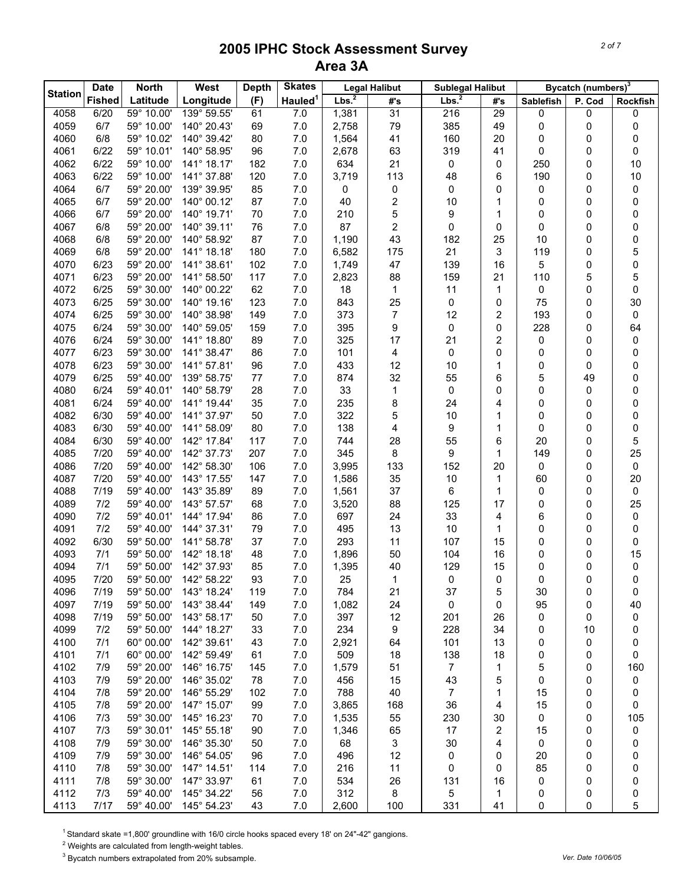|                | <b>Date</b>   | <b>North</b> | West        | <b>Depth</b> | <b>Skates</b>       |           | <b>Legal Halibut</b> | <b>Sublegal Halibut</b> |                |           | Bycatch (numbers) <sup>3</sup> |                 |
|----------------|---------------|--------------|-------------|--------------|---------------------|-----------|----------------------|-------------------------|----------------|-----------|--------------------------------|-----------------|
| <b>Station</b> | <b>Fished</b> | Latitude     | Longitude   | (F)          | Hauled <sup>1</sup> | Lbs. $^2$ | #'s                  | Lbs. <sup>2</sup>       | #'s            | Sablefish | P. Cod                         | <b>Rockfish</b> |
| 4058           | 6/20          | 59° 10.00'   | 139° 59.55' | 61           | 7.0                 | 1,381     | 31                   | 216                     | 29             | 0         | 0                              | 0               |
| 4059           | 6/7           | 59° 10.00'   | 140° 20.43' | 69           | 7.0                 | 2,758     | 79                   | 385                     | 49             | 0         | 0                              | 0               |
| 4060           | 6/8           | 59° 10.02'   | 140° 39.42' | 80           | 7.0                 | 1,564     | 41                   | 160                     | 20             | 0         | 0                              | 0               |
| 4061           | 6/22          | 59° 10.01'   | 140° 58.95' | 96           | 7.0                 | 2,678     | 63                   | 319                     | 41             | 0         | 0                              | 0               |
| 4062           | 6/22          | 59° 10.00'   | 141° 18.17' | 182          | $7.0$               | 634       | 21                   | 0                       | 0              | 250       | 0                              | 10              |
| 4063           | 6/22          | 59° 10.00'   | 141° 37.88' | 120          | 7.0                 | 3,719     | 113                  | 48                      | 6              | 190       | 0                              | 10              |
| 4064           | 6/7           | 59° 20.00'   | 139° 39.95' | 85           | 7.0                 | 0         | 0                    | 0                       | 0              | 0         | 0                              | 0               |
| 4065           | 6/7           | 59° 20.00'   | 140° 00.12' | 87           | 7.0                 | 40        | 2                    | 10                      | 1              | 0         | 0                              | 0               |
| 4066           | 6/7           | 59° 20.00'   | 140° 19.71' | 70           | 7.0                 | 210       | 5                    | 9                       | 1              | 0         | 0                              | 0               |
| 4067           | 6/8           | 59° 20.00'   | 140° 39.11' | 76           | 7.0                 | 87        | 2                    | 0                       | 0              | 0         | 0                              | 0               |
| 4068           | 6/8           | 59° 20.00'   | 140° 58.92' | 87           | 7.0                 | 1,190     | 43                   | 182                     | 25             | 10        | 0                              | 0               |
| 4069           | 6/8           | 59° 20.00'   | 141° 18.18' | 180          | 7.0                 | 6,582     | 175                  | 21                      | 3              | 119       | 0                              | 5               |
| 4070           | 6/23          | 59° 20.00'   | 141° 38.61' | 102          | 7.0                 | 1,749     | 47                   | 139                     | 16             | 5         | 0                              | 0               |
| 4071           | 6/23          | 59° 20.00'   | 141° 58.50' | 117          | 7.0                 | 2,823     | 88                   | 159                     | 21             | 110       | 5                              | 5               |
| 4072           | 6/25          | 59° 30.00'   | 140° 00.22' | 62           | 7.0                 | 18        | 1                    | 11                      | $\mathbf{1}$   | 0         | 0                              | 0               |
| 4073           | 6/25          | 59° 30.00'   | 140° 19.16' | 123          | 7.0                 | 843       | 25                   | 0                       | 0              | 75        | 0                              | 30              |
| 4074           | 6/25          | 59° 30.00'   | 140° 38.98' | 149          | 7.0                 | 373       | 7                    | 12                      | 2              | 193       | 0                              | 0               |
| 4075           | 6/24          | 59° 30.00'   | 140° 59.05' | 159          | 7.0                 | 395       | 9                    | 0                       | 0              | 228       | 0                              | 64              |
| 4076           | 6/24          | 59° 30.00'   | 141° 18.80' | 89           | 7.0                 | 325       | 17                   | 21                      | $\overline{c}$ | 0         | 0                              | 0               |
| 4077           | 6/23          | 59° 30.00'   | 141° 38.47' | 86           | 7.0                 | 101       | 4                    | 0                       | $\mathbf 0$    | 0         | 0                              | 0               |
| 4078           | 6/23          | 59° 30.00'   | 141° 57.81' | 96           | 7.0                 | 433       | 12                   | 10                      | 1              | 0         | 0                              | 0               |
| 4079           | 6/25          | 59° 40.00'   | 139° 58.75' | 77           | 7.0                 | 874       | 32                   | 55                      | 6              | 5         | 49                             | 0               |
| 4080           | 6/24          | 59° 40.01'   | 140° 58.79' | 28           | 7.0                 | 33        | 1                    | 0                       | 0              | 0         | 0                              | 0               |
| 4081           | 6/24          | 59° 40.00'   | 141° 19.44' | 35           | 7.0                 | 235       | 8                    | 24                      | 4              | 0         | 0                              | 0               |
| 4082           | 6/30          | 59° 40.00'   | 141° 37.97' | 50           | 7.0                 | 322       | 5                    | 10                      | 1              | 0         | 0                              | 0               |
| 4083           | 6/30          | 59° 40.00'   | 141° 58.09' | 80           | 7.0                 | 138       | 4                    | 9                       | 1              | 0         | 0                              | 0               |
| 4084           | 6/30          | 59° 40.00'   | 142° 17.84' | 117          | 7.0                 | 744       | 28                   | 55                      | 6              | 20        | 0                              | 5               |
| 4085           | 7/20          | 59° 40.00'   | 142° 37.73' | 207          | 7.0                 | 345       | 8                    | 9                       | 1              | 149       | 0                              | 25              |
| 4086           | 7/20          | 59° 40.00'   | 142° 58.30' | 106          | 7.0                 | 3,995     | 133                  | 152                     | 20             | 0         | 0                              | 0               |
| 4087           | 7/20          | 59° 40.00'   | 143° 17.55' | 147          | 7.0                 | 1,586     | 35                   | 10                      | $\mathbf{1}$   | 60        | 0                              | 20              |
| 4088           | 7/19          | 59° 40.00'   | 143° 35.89' | 89           | 7.0                 | 1,561     | 37                   | 6                       | 1              | 0         | 0                              | 0               |
| 4089           | 7/2           | 59° 40.00'   | 143° 57.57' | 68           | 7.0                 | 3,520     | 88                   | 125                     | 17             | 0         | 0                              | 25              |
| 4090           | 7/2           | 59° 40.01'   | 144° 17.94' | 86           | 7.0                 | 697       | 24                   | 33                      | 4              | 6         | 0                              | 0               |
| 4091           | 7/2           | 59° 40.00'   | 144° 37.31' | 79           | 7.0                 | 495       | 13                   | 10                      | 1              | 0         | 0                              | 0               |
| 4092           | 6/30          | 59° 50.00'   | 141° 58.78' | 37           | 7.0                 | 293       | 11                   | 107                     | 15             | 0         | 0                              | 0               |
| 4093           | 7/1           | 59° 50.00'   | 142° 18.18' | 48           | 7.0                 | 1,896     | 50                   | 104                     | 16             | 0         | 0                              | 15              |
| 4094           | 7/1           | 59° 50.00'   | 142° 37.93' | 85           | 7.0                 | 1,395     | 40                   | 129                     | 15             | 0         | 0                              | 0               |
| 4095           | 7/20          | 59° 50.00'   | 142° 58.22' | 93           | $7.0\,$             | 25        | 1                    | 0                       | $\pmb{0}$      | 0         | 0                              | 0               |
| 4096           | 7/19          | 59° 50.00'   | 143° 18.24' | 119          | 7.0                 | 784       | 21                   | 37                      | 5              | 30        | 0                              | 0               |
| 4097           | 7/19          | 59° 50.00'   | 143° 38.44' | 149          | 7.0                 | 1,082     | 24                   | 0                       | 0              | 95        | 0                              | 40              |
| 4098           | 7/19          | 59° 50.00'   | 143° 58.17' | 50           | 7.0                 | 397       | 12                   | 201                     | 26             | 0         | 0                              | 0               |
| 4099           | 7/2           | 59° 50.00'   | 144° 18.27' | 33           | 7.0                 | 234       | 9                    | 228                     | 34             | 0         | 10                             | 0               |
| 4100           | 7/1           | 60° 00.00'   | 142° 39.61' | 43           | 7.0                 | 2,921     | 64                   | 101                     | 13             | 0         | 0                              | 0               |
| 4101           | 7/1           | 60° 00.00'   | 142° 59.49' | 61           | 7.0                 | 509       | 18                   | 138                     | 18             | 0         | 0                              | 0               |
| 4102           | 7/9           | 59° 20.00'   | 146° 16.75' | 145          | 7.0                 | 1,579     | 51                   | $\overline{7}$          | 1              | 5         | 0                              | 160             |
| 4103           | 7/9           | 59° 20.00'   | 146° 35.02' | 78           | $7.0$               | 456       | 15                   | 43                      | 5              | 0         | 0                              | 0               |
| 4104           | 7/8           | 59° 20.00'   | 146° 55.29' | 102          | $7.0$               | 788       | 40                   | 7                       | 1              | 15        | 0                              | 0               |
| 4105           | 7/8           | 59° 20.00'   | 147° 15.07' | 99           | $7.0$               | 3,865     | 168                  | 36                      | 4              | 15        | 0                              | 0               |
| 4106           | 7/3           | 59° 30.00'   | 145° 16.23' | 70           | 7.0                 | 1,535     | 55                   | 230                     | 30             | 0         | 0                              | 105             |
| 4107           | 7/3           | 59° 30.01'   | 145° 55.18' | 90           | 7.0                 | 1,346     | 65                   | 17                      | 2              | 15        | 0                              | 0               |
| 4108           | 7/9           | 59° 30.00'   | 146° 35.30' | 50           | 7.0                 | 68        | 3                    | 30                      | 4              | 0         | 0                              | 0               |
| 4109           | 7/9           | 59° 30.00'   | 146° 54.05' | 96           | 7.0                 | 496       | 12                   | 0                       | 0              | 20        | 0                              | 0               |
| 4110           | 7/8           | 59° 30.00'   | 147° 14.51' | 114          | 7.0                 | 216       | 11                   | 0                       | 0              | 85        | 0                              | 0               |
| 4111           | 7/8           | 59° 30.00'   | 147° 33.97' | 61           | 7.0                 | 534       | 26                   | 131                     | 16             | 0         | 0                              | 0               |
| 4112           | 7/3           | 59° 40.00'   | 145° 34.22' | 56           | 7.0                 | 312       | 8                    | 5                       | 1              | 0         | 0                              | 0               |
| 4113           | 7/17          | 59° 40.00'   | 145° 54.23' | 43           | 7.0                 | 2,600     | 100                  | 331                     | 41             | 0         | 0                              | 5               |

<sup>1</sup> Standard skate =1,800' groundline with 16/0 circle hooks spaced every 18' on 24"-42" gangions.

 $2$  Weights are calculated from length-weight tables.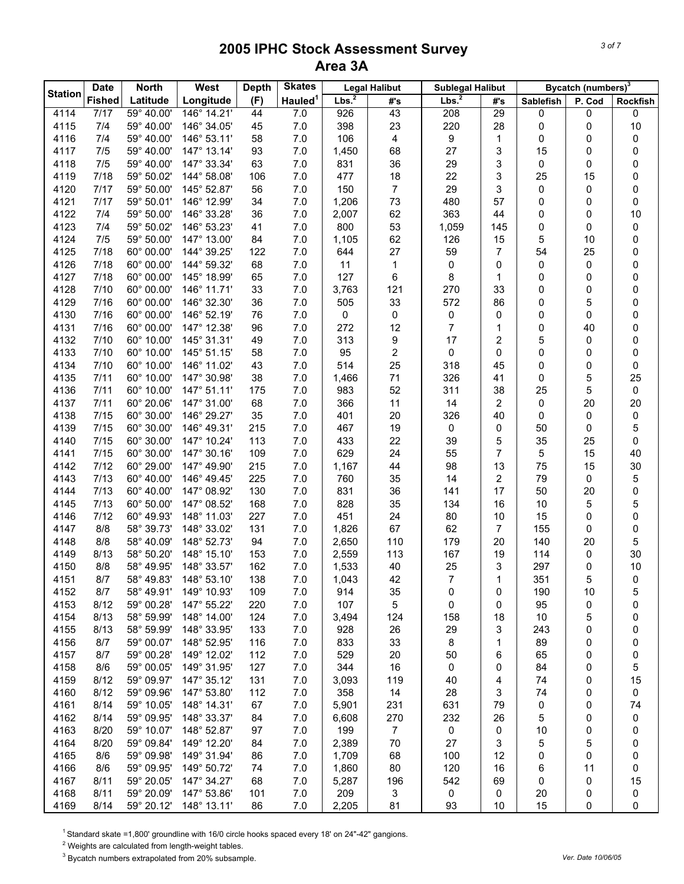|                | <b>Date</b>   | <b>North</b>             | <b>West</b>                | <b>Depth</b> | <b>Skates</b>       |           | <b>Legal Halibut</b>          | <b>Sublegal Halibut</b> |                |                  | Bycatch (numbers) <sup>3</sup> |          |
|----------------|---------------|--------------------------|----------------------------|--------------|---------------------|-----------|-------------------------------|-------------------------|----------------|------------------|--------------------------------|----------|
| <b>Station</b> | <b>Fished</b> | Latitude                 | Longitude                  | (F)          | Hauled <sup>1</sup> | Lbs. $^2$ | #'s                           | Lbs. <sup>2</sup>       | #'s            | <b>Sablefish</b> | P. Cod                         | Rockfish |
| 4114           | 7/17          | 59° 40.00'               | 146° 14.21'                | 44           | 7.0                 | 926       | 43                            | 208                     | 29             | 0                | 0                              | 0        |
| 4115           | 7/4           | 59° 40.00'               | 146° 34.05'                | 45           | 7.0                 | 398       | 23                            | 220                     | 28             | 0                | 0                              | 10       |
| 4116           | 7/4           | 59° 40.00'               | 146° 53.11'                | 58           | $7.0$               | 106       | 4                             | 9                       | 1              | 0                | 0                              | 0        |
| 4117           | 7/5           | 59° 40.00'               | 147° 13.14'                | 93           | 7.0                 | 1,450     | 68                            | 27                      | 3              | 15               | 0                              | 0        |
| 4118           | 7/5           | 59° 40.00'               | 147° 33.34'                | 63           | 7.0                 | 831       | 36                            | 29                      | 3              | 0                | 0                              | 0        |
| 4119           | 7/18          | 59° 50.02'               | 144° 58.08'                | 106          | 7.0                 | 477       | 18                            | 22                      | 3              | 25               | 15                             | 0        |
| 4120           | 7/17          | 59° 50.00'               | 145° 52.87'                | 56           | 7.0                 | 150       | $\overline{7}$                | 29                      | 3              | 0                | 0                              | 0        |
| 4121           | 7/17          | 59° 50.01'               | 146° 12.99'                | 34           | 7.0                 | 1,206     | 73                            | 480                     | 57             | 0                | 0                              | 0        |
| 4122           | 7/4           | 59° 50.00'               | 146° 33.28'                | 36           | 7.0                 | 2,007     | 62                            | 363                     | 44             | 0                | 0                              | 10       |
| 4123           | 7/4           | 59° 50.02'               | 146° 53.23'                | 41           | 7.0                 | 800       | 53                            | 1,059                   | 145            | 0                | 0                              | 0        |
| 4124           | 7/5           | 59° 50.00'               | 147° 13.00'                | 84           | 7.0                 | 1,105     | 62                            | 126                     | 15             | 5                | 10                             | 0        |
| 4125           | 7/18          | 60° 00.00'               | 144° 39.25'                | 122          | 7.0                 | 644       | 27                            | 59                      | $\overline{7}$ | 54               | 25                             | 0        |
| 4126           | 7/18          | 60° 00.00'               | 144° 59.32'                | 68           | 7.0                 | 11        | 1                             | 0                       | 0              | 0                | 0                              | 0        |
| 4127           | 7/18          | 60° 00.00'               | 145° 18.99'                | 65           | 7.0                 | 127       | 6                             | 8                       | 1              | 0                | 0                              | 0        |
| 4128           | 7/10          | 60° 00.00'<br>60° 00.00' | 146° 11.71'                | 33           | 7.0                 | 3,763     | 121                           | 270                     | 33             | 0                | 0                              | 0        |
| 4129           | 7/16          |                          | 146° 32.30'                | 36           | 7.0                 | 505       | 33                            | 572                     | 86             | 0                | 5                              | 0        |
| 4130           | 7/16          | 60° 00.00'               | 146° 52.19'<br>147° 12.38' | 76<br>96     | 7.0                 | 0         | 0                             | 0<br>$\overline{7}$     | 0              | 0                | 0                              | 0        |
| 4131           | 7/16          | 60° 00.00'<br>60° 10.00' |                            |              | 7.0                 | 272       | 12                            |                         | 1              | 0                | 40                             | 0        |
| 4132           | 7/10          | 60° 10.00'               | 145° 31.31'                | 49           | 7.0                 | 313       | 9                             | 17<br>$\mathsf 0$       | 2<br>0         | 5                | 0                              | 0        |
| 4133<br>4134   | 7/10<br>7/10  | 60° 10.00'               | 145° 51.15'<br>146° 11.02' | 58<br>43     | $7.0$<br>7.0        | 95<br>514 | $\overline{\mathbf{c}}$<br>25 | 318                     | 45             | 0<br>0           | 0<br>0                         | 0<br>0   |
| 4135           | 7/11          | 60° 10.00'               | 147° 30.98'                | 38           | 7.0                 | 1,466     | 71                            | 326                     | 41             | 0                | 5                              | 25       |
| 4136           | 7/11          | 60° 10.00'               | 147° 51.11'                | 175          | 7.0                 | 983       | 52                            | 311                     | 38             | 25               | 5                              | 0        |
| 4137           | 7/11          | 60° 20.06'               | 147° 31.00'                | 68           | 7.0                 | 366       | 11                            | 14                      | 2              | 0                | 20                             | 20       |
| 4138           | 7/15          | 60° 30.00'               | 146° 29.27'                | 35           | 7.0                 | 401       | 20                            | 326                     | 40             | 0                | 0                              | 0        |
| 4139           | 7/15          | 60° 30.00'               | 146° 49.31'                | 215          | 7.0                 | 467       | 19                            | $\pmb{0}$               | 0              | 50               | 0                              | 5        |
| 4140           | 7/15          | 60° 30.00'               | 147° 10.24'                | 113          | 7.0                 | 433       | 22                            | 39                      | 5              | 35               | 25                             | 0        |
| 4141           | 7/15          | 60° 30.00'               | 147° 30.16'                | 109          | 7.0                 | 629       | 24                            | 55                      | 7              | 5                | 15                             | 40       |
| 4142           | 7/12          | 60° 29.00'               | 147° 49.90'                | 215          | 7.0                 | 1,167     | 44                            | 98                      | 13             | 75               | 15                             | 30       |
| 4143           | 7/13          | 60° 40.00'               | 146° 49.45'                | 225          | 7.0                 | 760       | 35                            | 14                      | 2              | 79               | 0                              | 5        |
| 4144           | 7/13          | 60° 40.00'               | 147° 08.92'                | 130          | 7.0                 | 831       | 36                            | 141                     | 17             | 50               | 20                             | 0        |
| 4145           | 7/13          | 60° 50.00'               | 147° 08.52'                | 168          | 7.0                 | 828       | 35                            | 134                     | 16             | 10               | 5                              | 5        |
| 4146           | 7/12          | 60° 49.93'               | 148° 11.03'                | 227          | 7.0                 | 451       | 24                            | 80                      | 10             | 15               | 0                              | 0        |
| 4147           | 8/8           | 58° 39.73'               | 148° 33.02'                | 131          | 7.0                 | 1,826     | 67                            | 62                      | 7              | 155              | 0                              | 0        |
| 4148           | 8/8           | 58° 40.09'               | 148° 52.73'                | 94           | 7.0                 | 2,650     | 110                           | 179                     | 20             | 140              | 20                             | 5        |
| 4149           | 8/13          | 58° 50.20'               | 148° 15.10'                | 153          | 7.0                 | 2,559     | 113                           | 167                     | 19             | 114              | 0                              | 30       |
| 4150           | 8/8           | 58° 49.95'               | 148° 33.57'                | 162          | 7.0                 | 1,533     | 40                            | 25                      | 3              | 297              | 0                              | 10       |
| 4151           | 8/7           | 58° 49.83'               | 148° 53.10'                | 138          | $7.0\,$             | 1,043     | 42                            | $\overline{7}$          | $\mathbf{1}$   | 351              | 5                              | 0        |
| 4152           | 8/7           | 58° 49.91'               | 149° 10.93'                | 109          | 7.0                 | 914       | 35                            | 0                       | 0              | 190              | 10                             | 5        |
| 4153           | 8/12          | 59° 00.28'               | 147° 55.22'                | 220          | 7.0                 | 107       | 5                             | 0                       | 0              | 95               | 0                              | 0        |
| 4154           | 8/13          | 58° 59.99'               | 148° 14.00'                | 124          | 7.0                 | 3,494     | 124                           | 158                     | 18             | 10               | 5                              | 0        |
| 4155           | 8/13          | 58° 59.99'               | 148° 33.95'                | 133          | 7.0                 | 928       | 26                            | 29                      | 3              | 243              | 0                              | 0        |
| 4156           | 8/7           | 59° 00.07'               | 148° 52.95'                | 116          | 7.0                 | 833       | 33                            | 8                       | 1              | 89               | 0                              | 0        |
| 4157           | 8/7           | 59° 00.28'               | 149° 12.02'                | 112          | $7.0$               | 529       | 20                            | 50                      | 6              | 65               | 0                              | 0        |
| 4158           | 8/6           | 59° 00.05'               | 149° 31.95'                | 127          | 7.0                 | 344       | 16                            | 0                       | 0              | 84               | 0                              | 5        |
| 4159           | 8/12          | 59° 09.97'               | 147° 35.12'                | 131          | 7.0                 | 3,093     | 119                           | 40                      | 4              | 74               | 0                              | 15       |
| 4160           | 8/12          | 59° 09.96'               | 147° 53.80'                | 112          | 7.0                 | 358       | 14                            | 28                      | 3              | 74               | 0                              | 0        |
| 4161           | 8/14          | 59° 10.05'               | 148° 14.31'                | 67           | 7.0                 | 5,901     | 231                           | 631                     | 79             | 0                | 0                              | 74       |
| 4162           | 8/14          | 59° 09.95'               | 148° 33.37'                | 84           | 7.0                 | 6,608     | 270                           | 232                     | 26             | 5                | 0                              | 0        |
| 4163           | 8/20          | 59° 10.07'               | 148° 52.87'                | 97           | 7.0                 | 199       | $\overline{7}$                | $\mathbf 0$             | 0              | 10               | 0                              | 0        |
| 4164           | 8/20          | 59° 09.84'               | 149° 12.20'                | 84           | 7.0                 | 2,389     | 70                            | 27                      | 3              | 5                | 5                              | 0        |
| 4165           | 8/6           | 59° 09.98'               | 149° 31.94'                | 86           | 7.0                 | 1,709     | 68                            | 100                     | 12             | 0                | 0                              | 0        |
| 4166           | 8/6           | 59° 09.95'               | 149° 50.72'                | 74           | 7.0                 | 1,860     | 80                            | 120                     | 16             | 6                | 11                             | 0        |
| 4167           | 8/11          | 59° 20.05'               | 147° 34.27'                | 68           | 7.0                 | 5,287     | 196                           | 542                     | 69             | 0                | 0                              | 15       |
| 4168           | 8/11          | 59° 20.09'               | 147° 53.86'                | 101          | 7.0                 | 209       | 3                             | 0                       | 0              | 20               | 0                              | 0        |
| 4169           | 8/14          | 59° 20.12'               | 148° 13.11'                | 86           | 7.0                 | 2,205     | 81                            | 93                      | 10             | 15               | 0                              | 0        |

<sup>1</sup> Standard skate =1,800' groundline with 16/0 circle hooks spaced every 18' on 24"-42" gangions.

 $2$  Weights are calculated from length-weight tables.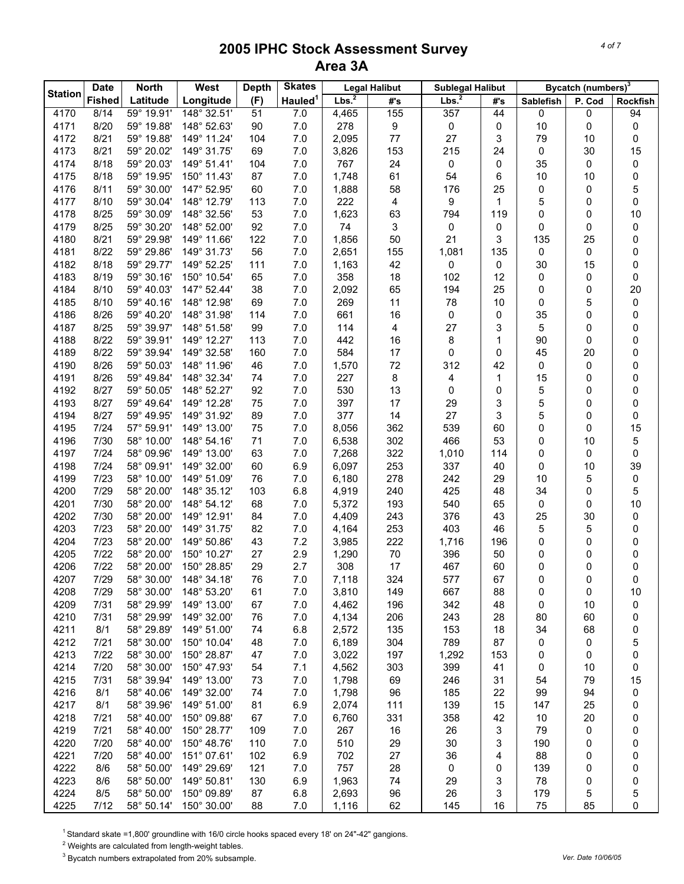| <b>Station</b> | <b>Date</b>   | <b>North</b> | West        | <b>Depth</b> | <b>Skates</b>       |                   | <b>Legal Halibut</b> | <b>Sublegal Halibut</b> |     |           | Bycatch (numbers) <sup>3</sup> |          |
|----------------|---------------|--------------|-------------|--------------|---------------------|-------------------|----------------------|-------------------------|-----|-----------|--------------------------------|----------|
|                | <b>Fished</b> | Latitude     | Longitude   | (F)          | Hauled <sup>1</sup> | Lbs. <sup>2</sup> | #'s                  | Lbs. <sup>2</sup>       | #'s | Sablefish | P. Cod                         | Rockfish |
| 4170           | 8/14          | 59° 19.91'   | 148° 32.51' | 51           | 7.0                 | 4,465             | 155                  | 357                     | 44  | 0         | 0                              | 94       |
| 4171           | 8/20          | 59° 19.88'   | 148° 52.63' | 90           | 7.0                 | 278               | 9                    | $\mathsf 0$             | 0   | 10        | 0                              | 0        |
| 4172           | 8/21          | 59° 19.88'   | 149° 11.24' | 104          | 7.0                 | 2,095             | 77                   | 27                      | 3   | 79        | 10                             | 0        |
| 4173           | 8/21          | 59° 20.02'   | 149° 31.75' | 69           | 7.0                 | 3,826             | 153                  | 215                     | 24  | 0         | 30                             | 15       |
| 4174           | 8/18          | 59° 20.03'   | 149° 51.41' | 104          | 7.0                 | 767               | 24                   | 0                       | 0   | 35        | 0                              | 0        |
| 4175           | 8/18          | 59° 19.95'   | 150° 11.43' | 87           | 7.0                 | 1,748             | 61                   | 54                      | 6   | 10        | 10                             | 0        |
| 4176           | 8/11          | 59° 30.00'   | 147° 52.95' | 60           | 7.0                 | 1,888             | 58                   | 176                     | 25  | 0         | 0                              | 5        |
| 4177           | 8/10          | 59° 30.04'   | 148° 12.79' | 113          | 7.0                 | 222               | 4                    | 9                       | 1   | 5         | 0                              | 0        |
| 4178           | 8/25          | 59° 30.09'   | 148° 32.56' | 53           | 7.0                 | 1,623             | 63                   | 794                     | 119 | 0         | 0                              | 10       |
| 4179           | 8/25          | 59° 30.20'   | 148° 52.00' | 92           | 7.0                 | 74                | 3                    | 0                       | 0   | 0         | 0                              | 0        |
| 4180           | 8/21          | 59° 29.98'   | 149° 11.66' | 122          | 7.0                 | 1,856             | 50                   | 21                      | 3   | 135       | 25                             | 0        |
| 4181           | 8/22          | 59° 29.86'   | 149° 31.73' | 56           | 7.0                 | 2,651             | 155                  | 1,081                   | 135 | 0         | 0                              | 0        |
| 4182           | 8/18          | 59° 29.77'   | 149° 52.25' | 111          | 7.0                 | 1,163             | 42                   | 0                       | 0   | 30        | 15                             | 0        |
| 4183           | 8/19          | 59° 30.16'   | 150° 10.54' | 65           | 7.0                 | 358               | 18                   | 102                     | 12  | 0         | 0                              | 0        |
| 4184           | 8/10          | 59° 40.03'   | 147° 52.44' | 38           | 7.0                 | 2,092             | 65                   | 194                     | 25  | 0         | 0                              | 20       |
| 4185           | 8/10          | 59° 40.16'   | 148° 12.98' | 69           | 7.0                 | 269               | 11                   | 78                      | 10  | 0         | 5                              | 0        |
| 4186           | 8/26          | 59° 40.20'   | 148° 31.98' | 114          | 7.0                 | 661               | 16                   | 0                       | 0   | 35        | 0                              | 0        |
| 4187           | 8/25          | 59° 39.97'   | 148° 51.58' | 99           | 7.0                 | 114               | 4                    | 27                      | 3   | 5         | 0                              | 0        |
| 4188           | 8/22          | 59° 39.91'   | 149° 12.27' | 113          | 7.0                 | 442               | 16                   | 8                       | 1   | 90        | 0                              | 0        |
| 4189           | 8/22          | 59° 39.94'   | 149° 32.58' | 160          | 7.0                 | 584               | 17                   | 0                       | 0   | 45        | 20                             | 0        |
| 4190           | 8/26          | 59° 50.03'   | 148° 11.96' | 46           | 7.0                 | 1,570             | 72                   | 312                     | 42  | 0         | 0                              | 0        |
| 4191           | 8/26          | 59° 49.84'   | 148° 32.34' | 74           | 7.0                 | 227               | 8                    | 4                       | 1   | 15        | 0                              | 0        |
| 4192           | 8/27          | 59° 50.05'   | 148° 52.27' | 92           | 7.0                 | 530               | 13                   | 0                       | 0   | 5         | 0                              | 0        |
| 4193           | 8/27          | 59° 49.64'   | 149° 12.28' | 75           | 7.0                 | 397               | 17                   | 29                      | 3   | 5         | 0                              | 0        |
| 4194           | 8/27          | 59° 49.95'   | 149° 31.92' | 89           | 7.0                 | 377               | 14                   | 27                      | 3   | 5         | 0                              | 0        |
| 4195           | 7/24          | 57° 59.91'   | 149° 13.00' | 75           | 7.0                 | 8,056             | 362                  | 539                     | 60  | 0         | 0                              | 15       |
| 4196           | 7/30          | 58° 10.00'   | 148° 54.16' | 71           | 7.0                 | 6,538             | 302                  | 466                     | 53  | 0         | 10                             | 5        |
| 4197           | 7/24          | 58° 09.96'   | 149° 13.00' | 63           | 7.0                 | 7,268             | 322                  | 1,010                   | 114 | 0         | 0                              | 0        |
| 4198           | $7/24$        | 58° 09.91'   | 149° 32.00' | 60           | 6.9                 | 6,097             | 253                  | 337                     | 40  | 0         | 10                             | 39       |
| 4199           | 7/23          | 58° 10.00'   | 149° 51.09' | 76           | 7.0                 | 6,180             | 278                  | 242                     | 29  | 10        | 5                              | 0        |
| 4200           | 7/29          | 58° 20.00'   | 148° 35.12' | 103          | 6.8                 | 4,919             | 240                  | 425                     | 48  | 34        | 0                              | 5        |
| 4201           | 7/30          | 58° 20.00'   | 148° 54.12' | 68           | 7.0                 | 5,372             | 193                  | 540                     | 65  | 0         | 0                              | 10       |
| 4202           | 7/30          | 58° 20.00'   | 149° 12.91' | 84           | 7.0                 | 4,409             | 243                  | 376                     | 43  | 25        | 30                             | 0        |
| 4203           | 7/23          | 58° 20.00'   | 149° 31.75' | 82           | 7.0                 | 4,164             | 253                  | 403                     | 46  | 5         | 5                              | 0        |
| 4204           | 7/23          | 58° 20.00'   | 149° 50.86' | 43           | 7.2                 | 3,985             | 222                  | 1,716                   | 196 | 0         | 0                              | 0        |
| 4205           | 7/22          | 58° 20.00'   | 150° 10.27' | 27           | 2.9                 | 1,290             | 70                   | 396                     | 50  | 0         | 0                              | 0        |
| 4206           | 7/22          | 58° 20.00'   | 150° 28.85' | 29           | 2.7                 | 308               | 17                   | 467                     | 60  | 0         | 0                              | 0        |
| 4207           | 7/29          | 58° 30.00'   | 148° 34.18' | 76           | $7.0\,$             | 7,118             | 324                  | 577                     | 67  | 0         | 0                              | 0        |
| 4208           | 7/29          | 58° 30.00'   | 148° 53.20' | 61           | 7.0                 | 3,810             | 149                  | 667                     | 88  | 0         | 0                              | 10       |
| 4209           | 7/31          | 58° 29.99'   | 149° 13.00' | 67           | 7.0                 | 4,462             | 196                  | 342                     | 48  | 0         | 10                             | 0        |
| 4210           | 7/31          | 58° 29.99'   | 149° 32.00' | 76           | 7.0                 | 4,134             | 206                  | 243                     | 28  | 80        | 60                             | 0        |
| 4211           | 8/1           | 58° 29.89'   | 149° 51.00' | 74           | 6.8                 | 2,572             | 135                  | 153                     | 18  | 34        | 68                             | 0        |
| 4212           | 7/21          | 58° 30.00'   | 150° 10.04' | 48           | 7.0                 | 6,189             | 304                  | 789                     | 87  | 0         | 0                              | 5        |
| 4213           | 7/22          | 58° 30.00'   | 150° 28.87' | 47           | $7.0$               | 3,022             | 197                  | 1,292                   | 153 | 0         | 0                              | 0        |
| 4214           | 7/20          | 58° 30.00'   | 150° 47.93' | 54           | 7.1                 | 4,562             | 303                  | 399                     | 41  | 0         | 10                             | 0        |
| 4215           | 7/31          | 58° 39.94'   | 149° 13.00' | 73           | 7.0                 | 1,798             | 69                   | 246                     | 31  | 54        | 79                             | 15       |
| 4216           | 8/1           | 58° 40.06'   | 149° 32.00' | 74           | 7.0                 | 1,798             | 96                   | 185                     | 22  | 99        | 94                             | 0        |
| 4217           | 8/1           | 58° 39.96'   | 149° 51.00' | 81           | 6.9                 | 2,074             | 111                  | 139                     | 15  | 147       | 25                             | 0        |
| 4218           | 7/21          | 58° 40.00'   | 150° 09.88' | 67           | 7.0                 | 6,760             | 331                  | 358                     | 42  | 10        | 20                             | 0        |
| 4219           | 7/21          | 58° 40.00'   | 150° 28.77' | 109          | 7.0                 | 267               | 16                   | 26                      | 3   | 79        | 0                              | 0        |
| 4220           | 7/20          | 58° 40.00'   | 150° 48.76' | 110          | 7.0                 | 510               | 29                   | 30                      | 3   | 190       | 0                              | 0        |
| 4221           | 7/20          | 58° 40.00'   | 151° 07.61' | 102          | 6.9                 | 702               | 27                   | 36                      | 4   | 88        | 0                              | 0        |
| 4222           | 8/6           | 58° 50.00'   | 149° 29.69' | 121          | 7.0                 | 757               | 28                   | 0                       | 0   | 139       | 0                              | 0        |
| 4223           | 8/6           | 58° 50.00'   | 149° 50.81' | 130          | 6.9                 | 1,963             | 74                   | 29                      | 3   | 78        | 0                              | 0        |
| 4224           | 8/5           | 58° 50.00'   | 150° 09.89' | 87           | 6.8                 | 2,693             | 96                   | 26                      | 3   | 179       | 5                              | 5        |
| 4225           | 7/12          | 58° 50.14'   | 150° 30.00' | 88           | 7.0                 | 1,116             | 62                   | 145                     | 16  | 75        | 85                             | 0        |

<sup>1</sup> Standard skate =1,800' groundline with 16/0 circle hooks spaced every 18' on 24"-42" gangions.

 $2$  Weights are calculated from length-weight tables.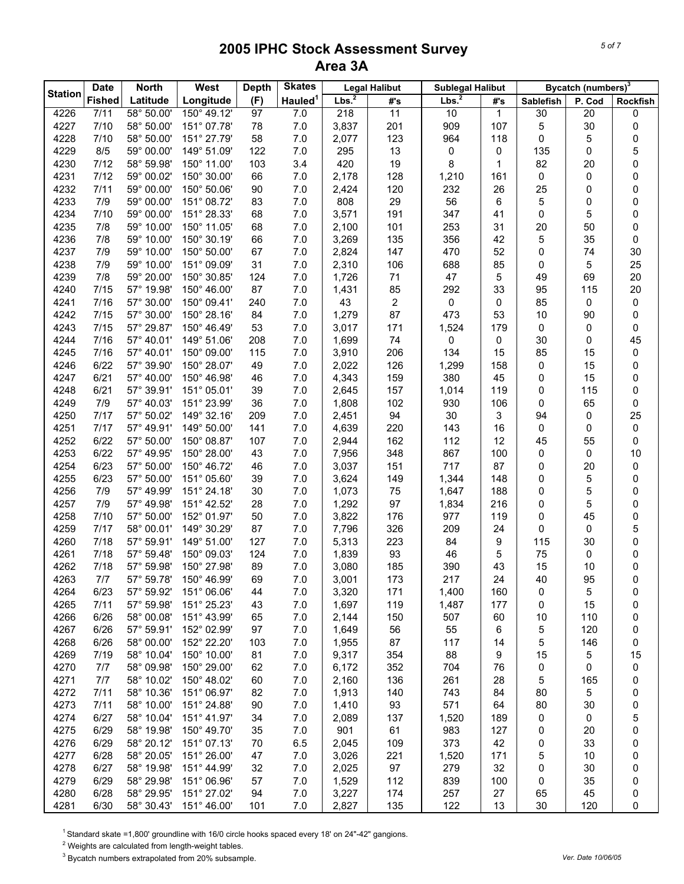| <b>Station</b> | <b>Date</b>   | <b>North</b> | West        | <b>Depth</b> | <b>Skates</b>       |                   | <b>Legal Halibut</b> | <b>Sublegal Halibut</b> |     |           | Bycatch (numbers) <sup>3</sup> |          |
|----------------|---------------|--------------|-------------|--------------|---------------------|-------------------|----------------------|-------------------------|-----|-----------|--------------------------------|----------|
|                | <b>Fished</b> | Latitude     | Longitude   | (F)          | Hauled <sup>1</sup> | Lbs. <sup>2</sup> | #'s                  | Lbs. <sup>2</sup>       | #'s | Sablefish | P. Cod                         | Rockfish |
| 4226           | 7/11          | 58° 50.00'   | 150° 49.12' | 97           | 7.0                 | 218               | 11                   | 10                      | 1   | 30        | 20                             | 0        |
| 4227           | 7/10          | 58° 50.00'   | 151° 07.78' | 78           | 7.0                 | 3,837             | 201                  | 909                     | 107 | 5         | 30                             | 0        |
| 4228           | 7/10          | 58° 50.00'   | 151° 27.79' | 58           | 7.0                 | 2,077             | 123                  | 964                     | 118 | 0         | 5                              | 0        |
| 4229           | 8/5           | 59° 00.00'   | 149° 51.09' | 122          | 7.0                 | 295               | 13                   | 0                       | 0   | 135       | 0                              | 5        |
| 4230           | 7/12          | 58° 59.98'   | 150° 11.00' | 103          | 3.4                 | 420               | 19                   | 8                       | 1   | 82        | 20                             | 0        |
| 4231           | 7/12          | 59° 00.02'   | 150° 30.00' | 66           | 7.0                 | 2,178             | 128                  | 1,210                   | 161 | 0         | 0                              | 0        |
| 4232           | 7/11          | 59° 00.00'   | 150° 50.06' | 90           | 7.0                 | 2,424             | 120                  | 232                     | 26  | 25        | 0                              | 0        |
| 4233           | 7/9           | 59° 00.00'   | 151° 08.72' | 83           | 7.0                 | 808               | 29                   | 56                      | 6   | 5         | 0                              | 0        |
| 4234           | 7/10          | 59° 00.00'   | 151° 28.33' | 68           | 7.0                 | 3,571             | 191                  | 347                     | 41  | 0         | 5                              | 0        |
| 4235           | 7/8           | 59° 10.00'   | 150° 11.05' | 68           | 7.0                 | 2,100             | 101                  | 253                     | 31  | 20        | 50                             | 0        |
| 4236           | 7/8           | 59° 10.00'   | 150° 30.19' | 66           | 7.0                 | 3,269             | 135                  | 356                     | 42  | 5         | 35                             | 0        |
| 4237           | 7/9           | 59° 10.00'   | 150° 50.00' | 67           | 7.0                 | 2,824             | 147                  | 470                     | 52  | 0         | 74                             | 30       |
| 4238           | 7/9           | 59° 10.00'   | 151° 09.09' | 31           | 7.0                 | 2,310             | 106                  | 688                     | 85  | 0         | 5                              | 25       |
| 4239           | 7/8           | 59° 20.00'   | 150° 30.85' | 124          | 7.0                 | 1,726             | 71                   | 47                      | 5   | 49        | 69                             | 20       |
| 4240           | 7/15          | 57° 19.98'   | 150° 46.00' | 87           | 7.0                 | 1,431             | 85                   | 292                     | 33  | 95        | 115                            | 20       |
| 4241           | 7/16          | 57° 30.00'   | 150° 09.41' | 240          | 7.0                 | 43                | $\overline{c}$       | 0                       | 0   | 85        | 0                              | 0        |
| 4242           | 7/15          | 57° 30.00'   | 150° 28.16' | 84           | 7.0                 | 1,279             | 87                   | 473                     | 53  | 10        | 90                             | 0        |
| 4243           | 7/15          | 57° 29.87'   | 150° 46.49' | 53           | 7.0                 | 3,017             | 171                  | 1,524                   | 179 | 0         | 0                              | 0        |
| 4244           | 7/16          | 57° 40.01'   | 149° 51.06' | 208          | 7.0                 | 1,699             | 74                   | 0                       | 0   | 30        | 0                              | 45       |
| 4245           | 7/16          | 57° 40.01'   | 150° 09.00' | 115          | 7.0                 | 3,910             | 206                  | 134                     | 15  | 85        | 15                             | 0        |
| 4246           | 6/22          | 57° 39.90'   | 150° 28.07' | 49           | 7.0                 | 2,022             | 126                  | 1,299                   | 158 | 0         | 15                             | 0        |
| 4247           | 6/21          | 57° 40.00'   | 150° 46.98' | 46           | 7.0                 | 4,343             | 159                  | 380                     | 45  | 0         | 15                             | 0        |
| 4248           | 6/21          | 57° 39.91'   | 151° 05.01' | 39           | 7.0                 | 2,645             | 157                  | 1,014                   | 119 | 0         | 115                            | 0        |
| 4249           | 7/9           | 57° 40.03'   | 151° 23.99' | 36           | 7.0                 | 1,808             | 102                  | 930                     | 106 | 0         | 65                             | 0        |
| 4250           | 7/17          | 57° 50.02'   | 149° 32.16' | 209          | 7.0                 | 2,451             | 94                   | 30                      | 3   | 94        | 0                              | 25       |
| 4251           | 7/17          | 57° 49.91'   | 149° 50.00' | 141          | 7.0                 | 4,639             | 220                  | 143                     | 16  | 0         | 0                              | 0        |
| 4252           | 6/22          | 57° 50.00'   | 150° 08.87' | 107          | 7.0                 | 2,944             | 162                  | 112                     | 12  | 45        | 55                             | 0        |
| 4253           | 6/22          | 57° 49.95'   | 150° 28.00' | 43           | 7.0                 | 7,956             | 348                  | 867                     | 100 | 0         | 0                              | 10       |
| 4254           | 6/23          | 57° 50.00'   | 150° 46.72' | 46           | 7.0                 | 3,037             | 151                  | 717                     | 87  | 0         | 20                             | 0        |
| 4255           | 6/23          | 57° 50.00'   | 151° 05.60' | 39           | 7.0                 | 3,624             | 149                  | 1,344                   | 148 | 0         | 5                              | 0        |
| 4256           | 7/9           | 57° 49.99'   | 151° 24.18' | 30           | 7.0                 | 1,073             | 75                   | 1,647                   | 188 | 0         | 5                              | 0        |
| 4257           | 7/9           | 57° 49.98'   | 151° 42.52' | 28           | 7.0                 | 1,292             | 97                   | 1,834                   | 216 | 0         | 5                              | 0        |
| 4258           | 7/10          | 57° 50.00'   | 152° 01.97' | 50           | 7.0                 | 3,822             | 176                  | 977                     | 119 | 0         | 45                             | 0        |
| 4259           | 7/17          | 58° 00.01'   | 149° 30.29' | 87           | 7.0                 | 7,796             | 326                  | 209                     | 24  | 0         | 0                              | 5        |
| 4260           | 7/18          | 57° 59.91'   | 149° 51.00' | 127          | 7.0                 | 5,313             | 223                  | 84                      | 9   | 115       | 30                             | 0        |
| 4261           | 7/18          | 57° 59.48'   | 150° 09.03' | 124          | 7.0                 | 1,839             | 93                   | 46                      | 5   | 75        | 0                              | 0        |
| 4262           | 7/18          | 57° 59.98'   | 150° 27.98' | 89           | 7.0                 | 3,080             | 185                  | 390                     | 43  | 15        | 10                             | 0        |
| 4263           | 7/7           | 57° 59.78'   | 150° 46.99' | 69           | $7.0\,$             | 3,001             | 173                  | 217                     | 24  | 40        | 95                             | 0        |
| 4264           | 6/23          | 57° 59.92'   | 151° 06.06' | 44           | 7.0                 | 3,320             | 171                  | 1,400                   | 160 | 0         | 5                              | 0        |
| 4265           | 7/11          | 57° 59.98'   | 151° 25.23' | 43           | 7.0                 | 1,697             | 119                  | 1,487                   | 177 | 0         | 15                             | 0        |
| 4266           | 6/26          | 58° 00.08'   | 151° 43.99' | 65           | 7.0                 | 2,144             | 150                  | 507                     | 60  | 10        | 110                            | 0        |
| 4267           | 6/26          | 57° 59.91'   | 152° 02.99' | 97           | 7.0                 | 1,649             | 56                   | 55                      | 6   | 5         | 120                            | 0        |
| 4268           | 6/26          | 58° 00.00'   | 152° 22.20' | 103          | 7.0                 | 1,955             | 87                   | 117                     | 14  | 5         | 146                            | 0        |
| 4269           | 7/19          | 58° 10.04'   | 150° 10.00' | 81           | 7.0                 | 9,317             | 354                  | 88                      | 9   | 15        | 5                              | 15       |
| 4270           | 7/7           | 58° 09.98'   | 150° 29.00' | 62           | 7.0                 | 6,172             | 352                  | 704                     | 76  | 0         | 0                              | 0        |
| 4271           | 7/7           | 58° 10.02'   | 150° 48.02' | 60           | 7.0                 | 2,160             | 136                  | 261                     | 28  | 5         | 165                            | 0        |
| 4272           | 7/11          | 58° 10.36'   | 151° 06.97' | 82           | 7.0                 | 1,913             | 140                  | 743                     | 84  | 80        | 5                              | 0        |
| 4273           | 7/11          | 58° 10.00'   | 151° 24.88' | 90           | 7.0                 | 1,410             | 93                   | 571                     | 64  | 80        | 30                             | 0        |
| 4274           | 6/27          | 58° 10.04'   | 151° 41.97' | 34           | 7.0                 | 2,089             | 137                  | 1,520                   | 189 | 0         | 0                              | 5        |
| 4275           | 6/29          | 58° 19.98'   | 150° 49.70' | 35           | 7.0                 | 901               | 61                   | 983                     | 127 | 0         | 20                             | 0        |
| 4276           | 6/29          | 58° 20.12'   | 151° 07.13' | 70           | 6.5                 | 2,045             | 109                  | 373                     | 42  | 0         | 33                             | 0        |
| 4277           | 6/28          | 58° 20.05'   | 151° 26.00' | 47           | $7.0$               | 3,026             | 221                  | 1,520                   | 171 | 5         | 10                             | 0        |
| 4278           | 6/27          | 58° 19.98'   | 151° 44.99' | 32           | 7.0                 | 2,025             | 97                   | 279                     | 32  | 0         | 30                             | 0        |
| 4279           | 6/29          | 58° 29.98'   | 151° 06.96' | 57           | 7.0                 | 1,529             | 112                  | 839                     | 100 | 0         | 35                             | 0        |
| 4280           | 6/28          | 58° 29.95'   | 151° 27.02' | 94           | 7.0                 | 3,227             | 174                  | 257                     | 27  | 65        | 45                             | 0        |
| 4281           | 6/30          | 58° 30.43'   | 151° 46.00' | 101          | 7.0                 | 2,827             | 135                  | 122                     | 13  | 30        | 120                            | 0        |

<sup>1</sup> Standard skate =1,800' groundline with 16/0 circle hooks spaced every 18' on 24"-42" gangions.

 $2$  Weights are calculated from length-weight tables.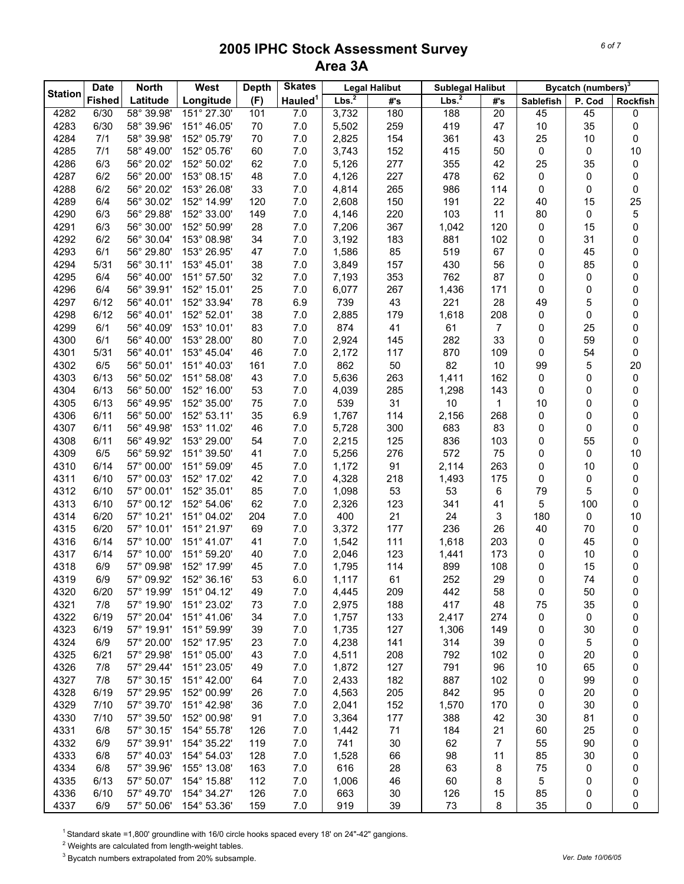|                | <b>Date</b>   | <b>North</b> | West        | <b>Depth</b> | <b>Skates</b>       |                   | <b>Legal Halibut</b> | <b>Sublegal Halibut</b> |                |                  | Bycatch (numbers) <sup>3</sup> |                 |
|----------------|---------------|--------------|-------------|--------------|---------------------|-------------------|----------------------|-------------------------|----------------|------------------|--------------------------------|-----------------|
| <b>Station</b> | <b>Fished</b> | Latitude     | Longitude   | (F)          | Hauled <sup>1</sup> | Lbs. <sup>2</sup> | #'s                  | Lbs. <sup>2</sup>       | #'s            | <b>Sablefish</b> | P. Cod                         | <b>Rockfish</b> |
| 4282           | 6/30          | 58° 39.98'   | 151° 27.30' | 101          | 7.0                 | 3,732             | 180                  | 188                     | 20             | 45               | 45                             | 0               |
| 4283           | 6/30          | 58° 39.96'   | 151° 46.05' | 70           | 7.0                 | 5,502             | 259                  | 419                     | 47             | $10$             | 35                             | 0               |
| 4284           | 7/1           | 58° 39.98'   | 152° 05.79' | 70           | 7.0                 | 2,825             | 154                  | 361                     | 43             | 25               | 10                             | 0               |
| 4285           | 7/1           | 58° 49.00'   | 152° 05.76' | 60           | 7.0                 | 3,743             | 152                  | 415                     | 50             | 0                | 0                              | 10              |
| 4286           | 6/3           | 56° 20.02'   | 152° 50.02' | 62           | 7.0                 | 5,126             | 277                  | 355                     | 42             | 25               | 35                             | 0               |
| 4287           | 6/2           | 56° 20.00'   | 153° 08.15' | 48           | 7.0                 | 4,126             | 227                  | 478                     | 62             | 0                | 0                              | 0               |
| 4288           | 6/2           | 56° 20.02'   | 153° 26.08' | 33           | 7.0                 | 4,814             | 265                  | 986                     | 114            | 0                | 0                              | 0               |
| 4289           | 6/4           | 56° 30.02'   | 152° 14.99' | 120          | 7.0                 | 2,608             | 150                  | 191                     | 22             | 40               | 15                             | 25              |
| 4290           | 6/3           | 56° 29.88'   | 152° 33.00' | 149          | 7.0                 | 4,146             | 220                  | 103                     | 11             | 80               | 0                              | 5               |
| 4291           | 6/3           | 56° 30.00'   | 152° 50.99' | 28           | 7.0                 | 7,206             | 367                  | 1,042                   | 120            | 0                | 15                             | 0               |
| 4292           | 6/2           | 56° 30.04'   | 153° 08.98' | 34           | 7.0                 | 3,192             | 183                  | 881                     | 102            | 0                | 31                             | 0               |
| 4293           | 6/1           | 56° 29.80'   | 153° 26.95' | 47           | 7.0                 | 1,586             | 85                   | 519                     | 67             | 0                | 45                             | 0               |
| 4294           | 5/31          | 56° 30.11'   | 153° 45.01' | 38           | 7.0                 | 3,849             | 157                  | 430                     | 56             | 0                | 85                             | 0               |
| 4295           | 6/4           | 56° 40.00'   | 151° 57.50' | 32           | 7.0                 | 7,193             | 353                  | 762                     | 87             | 0                | 0                              | 0               |
| 4296           | 6/4           | 56° 39.91'   | 152° 15.01' | 25           | 7.0                 | 6,077             | 267                  | 1,436                   | 171            | 0                | 0                              | 0               |
| 4297           | 6/12          | 56° 40.01'   | 152° 33.94' | 78           | 6.9                 | 739               | 43                   | 221                     | 28             | 49               | 5                              | 0               |
| 4298           | 6/12          | 56° 40.01'   | 152° 52.01' | 38           | 7.0                 | 2,885             | 179                  | 1,618                   | 208            | 0                | 0                              | 0               |
| 4299           | 6/1           | 56° 40.09'   | 153° 10.01' | 83           | 7.0                 | 874               | 41                   | 61                      | $\overline{7}$ | 0                | 25                             | 0               |
| 4300           | 6/1           | 56° 40.00'   | 153° 28.00' | 80           | 7.0                 | 2,924             | 145                  | 282                     | 33             | 0                | 59                             | 0               |
| 4301           | 5/31          | 56° 40.01'   | 153° 45.04' | 46           | 7.0                 | 2,172             | 117                  | 870                     | 109            | 0                | 54                             | 0               |
| 4302           | 6/5           | 56° 50.01'   | 151° 40.03' | 161          | 7.0                 | 862               | 50                   | 82                      | 10             | 99               | 5                              | 20              |
| 4303           | 6/13          | 56° 50.02'   | 151° 58.08' | 43           | 7.0                 | 5,636             | 263                  | 1,411                   | 162            | 0                | 0                              | 0               |
| 4304           | 6/13          | 56° 50.00'   | 152° 16.00' | 53           | 7.0                 | 4,039             | 285                  | 1,298                   | 143            | 0                | 0                              | 0               |
| 4305           | 6/13          | 56° 49.95'   | 152° 35.00' | 75           | 7.0                 | 539               | 31                   | $10$                    | 1              | 10               | 0                              | 0               |
| 4306           | 6/11          | 56° 50.00'   | 152° 53.11' | 35           | 6.9                 | 1,767             | 114                  | 2,156                   | 268            | 0                | 0                              | 0               |
| 4307           | 6/11          | 56° 49.98'   | 153° 11.02' | 46           | 7.0                 | 5,728             | 300                  | 683                     | 83             | 0                | 0                              | 0               |
| 4308           | 6/11          | 56° 49.92'   | 153° 29.00' | 54           | 7.0                 | 2,215             | 125                  | 836                     | 103            | 0                | 55                             | 0               |
| 4309           | 6/5           | 56° 59.92'   | 151° 39.50' | 41           | 7.0                 | 5,256             | 276                  | 572                     | 75             | 0                | 0                              | 10              |
| 4310           | 6/14          | 57° 00.00'   | 151° 59.09' | 45           | 7.0                 | 1,172             | 91                   | 2,114                   | 263            | 0                | 10                             | 0               |
| 4311           | 6/10          | 57° 00.03'   | 152° 17.02' | 42           | 7.0                 | 4,328             | 218                  | 1,493                   | 175            | 0                | 0                              | 0               |
| 4312           | 6/10          | 57° 00.01'   | 152° 35.01' | 85           | 7.0                 | 1,098             | 53                   | 53                      | 6              | 79               | 5                              | 0               |
| 4313           | 6/10          | 57° 00.12'   | 152° 54.06' | 62           | 7.0                 | 2,326             | 123                  | 341                     | 41             | 5                | 100                            | 0               |
| 4314           | 6/20          | 57° 10.21'   | 151° 04.02' | 204          | 7.0                 | 400               | 21                   | 24                      | 3              | 180              | 0                              | 10              |
| 4315           | 6/20          | 57° 10.01'   | 151° 21.97' | 69           | 7.0                 | 3,372             | 177                  | 236                     | 26             | 40               | 70                             | 0               |
| 4316           | 6/14          | 57° 10.00'   | 151° 41.07' | 41           | 7.0                 | 1,542             | 111                  | 1,618                   | 203            | 0                | 45                             | 0               |
| 4317           | 6/14          | 57° 10.00'   | 151° 59.20' | 40           | 7.0                 | 2,046             | 123                  | 1,441                   | 173            | 0                | 10                             | 0               |
| 4318           | 6/9           | 57° 09.98'   | 152° 17.99' | 45           | 7.0                 | 1,795             | 114                  | 899                     | 108            | 0                | 15                             | 0               |
| 4319           | 6/9           | 57° 09.92'   | 152° 36.16' | 53           | $6.0\,$             | 1,117             | 61                   | 252                     | 29             | 0                | 74                             | 0               |
| 4320           | 6/20          | 57° 19.99'   | 151° 04.12' | 49           | 7.0                 | 4,445             | 209                  | 442                     | 58             | 0                | 50                             | 0               |
| 4321           | 7/8           | 57° 19.90'   | 151° 23.02' | 73           | 7.0                 | 2,975             | 188                  | 417                     | 48             | 75               | 35                             | 0               |
| 4322           | 6/19          | 57° 20.04'   | 151° 41.06' | 34           | 7.0                 | 1,757             | 133                  | 2,417                   | 274            | 0                | 0                              | 0               |
| 4323           | 6/19          | 57° 19.91'   | 151° 59.99' | 39           | 7.0                 | 1,735             | 127                  | 1,306                   | 149            | 0                | 30                             | 0               |
| 4324           | 6/9           | 57° 20.00'   | 152° 17.95' | 23           | 7.0                 | 4,238             | 141                  | 314                     | 39             | 0                | 5                              | 0               |
| 4325           | 6/21          | 57° 29.98'   | 151° 05.00' | 43           | 7.0                 | 4,511             | 208                  | 792                     | 102            | 0                | 20                             | 0               |
| 4326           | 7/8           | 57° 29.44'   | 151° 23.05' | 49           | 7.0                 | 1,872             | 127                  | 791                     | 96             | 10               | 65                             | 0               |
| 4327           | 7/8           | 57° 30.15'   | 151° 42.00' | 64           | 7.0                 | 2,433             | 182                  | 887                     | 102            | 0                | 99                             | 0               |
| 4328           | 6/19          | 57° 29.95'   | 152° 00.99' | 26           | 7.0                 | 4,563             | 205                  | 842                     | 95             | 0                | 20                             | 0               |
| 4329           | 7/10          | 57° 39.70'   | 151° 42.98' | 36           | 7.0                 | 2,041             | 152                  | 1,570                   | 170            | 0                | 30                             | 0               |
| 4330           | 7/10          | 57° 39.50'   | 152° 00.98' | 91           | 7.0                 | 3,364             | 177                  | 388                     | 42             | 30               | 81                             | 0               |
| 4331           | 6/8           | 57° 30.15'   | 154° 55.78' | 126          | 7.0                 | 1,442             | 71                   | 184                     | 21             | 60               | 25                             | 0               |
| 4332           | 6/9           | 57° 39.91'   | 154° 35.22' | 119          | 7.0                 | 741               | 30                   | 62                      | 7              | 55               | 90                             | 0               |
| 4333           | 6/8           | 57° 40.03'   | 154° 54.03' | 128          | 7.0                 | 1,528             | 66                   | 98                      | 11             | 85               | 30                             | 0               |
| 4334           | 6/8           | 57° 39.96'   | 155° 13.08' | 163          | 7.0                 | 616               | 28                   | 63                      | 8              | 75               | 0                              | 0               |
| 4335           | 6/13          | 57° 50.07'   | 154° 15.88' | 112          | 7.0                 | 1,006             | 46                   | 60                      | 8              | 5                | 0                              | 0               |
| 4336           | 6/10          | 57° 49.70'   | 154° 34.27' | 126          | 7.0                 | 663               | 30                   | 126                     | 15             | 85               | 0                              | 0               |
| 4337           | 6/9           | 57° 50.06'   | 154° 53.36' | 159          | 7.0                 | 919               | 39                   | 73                      | 8              | 35               | 0                              | 0               |

<sup>1</sup> Standard skate =1,800' groundline with 16/0 circle hooks spaced every 18' on 24"-42" gangions.

 $2$  Weights are calculated from length-weight tables.